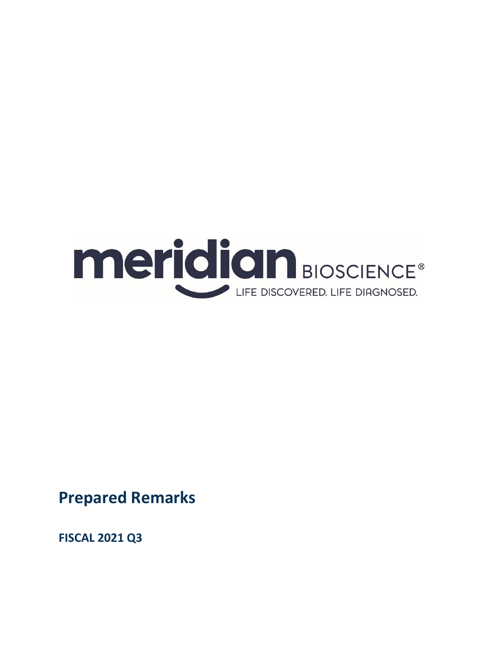

**Prepared Remarks**

**FISCAL 2021 Q3**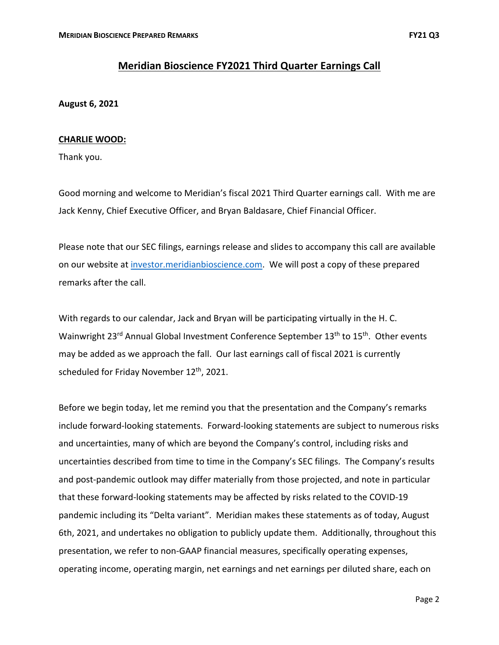# **Meridian Bioscience FY2021 Third Quarter Earnings Call**

## **August 6, 2021**

## **CHARLIE WOOD:**

Thank you.

Good morning and welcome to Meridian's fiscal 2021 Third Quarter earnings call. With me are Jack Kenny, Chief Executive Officer, and Bryan Baldasare, Chief Financial Officer.

Please note that our SEC filings, earnings release and slides to accompany this call are available on our website at investor.meridianbioscience.com. We will post a copy of these prepared remarks after the call.

With regards to our calendar, Jack and Bryan will be participating virtually in the H. C. Wainwright 23<sup>rd</sup> Annual Global Investment Conference September 13<sup>th</sup> to 15<sup>th</sup>. Other events may be added as we approach the fall. Our last earnings call of fiscal 2021 is currently scheduled for Friday November 12<sup>th</sup>, 2021.

Before we begin today, let me remind you that the presentation and the Company's remarks include forward‐looking statements. Forward‐looking statements are subject to numerous risks and uncertainties, many of which are beyond the Company's control, including risks and uncertainties described from time to time in the Company's SEC filings. The Company's results and post-pandemic outlook may differ materially from those projected, and note in particular that these forward‐looking statements may be affected by risks related to the COVID‐19 pandemic including its "Delta variant". Meridian makes these statements as of today, August 6th, 2021, and undertakes no obligation to publicly update them. Additionally, throughout this presentation, we refer to non‐GAAP financial measures, specifically operating expenses, operating income, operating margin, net earnings and net earnings per diluted share, each on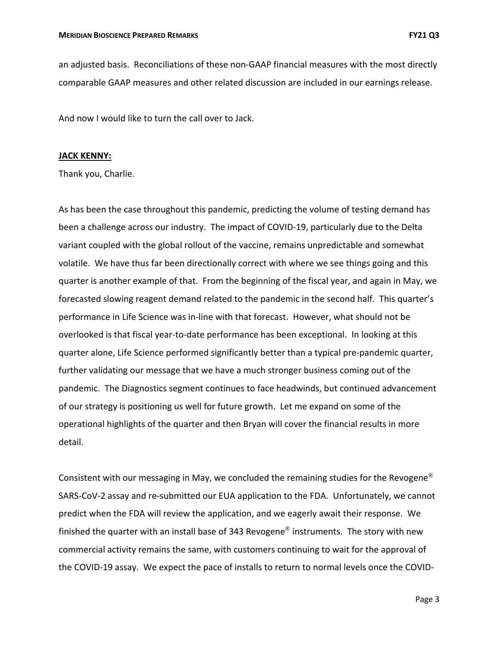an adjusted basis. Reconciliations of these non‐GAAP financial measures with the most directly comparable GAAP measures and other related discussion are included in our earnings release.

And now I would like to turn the call over to Jack.

### **JACK KENNY:**

Thank you, Charlie.

As has been the case throughout this pandemic, predicting the volume of testing demand has been a challenge across our industry. The impact of COVID‐19, particularly due to the Delta variant coupled with the global rollout of the vaccine, remains unpredictable and somewhat volatile. We have thus far been directionally correct with where we see things going and this quarter is another example of that. From the beginning of the fiscal year, and again in May, we forecasted slowing reagent demand related to the pandemic in the second half. This quarter's performance in Life Science was in‐line with that forecast. However, what should not be overlooked is that fiscal year‐to‐date performance has been exceptional. In looking at this quarter alone, Life Science performed significantly better than a typical pre‐pandemic quarter, further validating our message that we have a much stronger business coming out of the pandemic. The Diagnostics segment continues to face headwinds, but continued advancement of our strategy is positioning us well for future growth. Let me expand on some of the operational highlights of the quarter and then Bryan will cover the financial results in more detail.

Consistent with our messaging in May, we concluded the remaining studies for the Revogene<sup>®</sup> SARS‐CoV‐2 assay and re‐submitted our EUA application to the FDA. Unfortunately, we cannot predict when the FDA will review the application, and we eagerly await their response. We finished the quarter with an install base of 343 Revogene<sup>®</sup> instruments. The story with new commercial activity remains the same, with customers continuing to wait for the approval of the COVID‐19 assay. We expect the pace of installs to return to normal levels once the COVID‐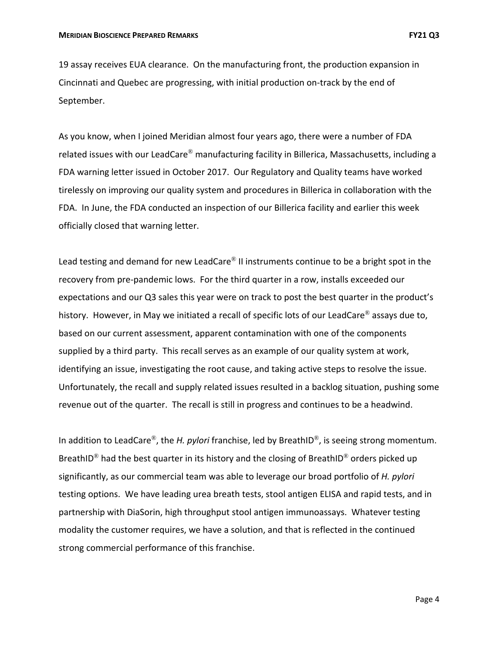19 assay receives EUA clearance. On the manufacturing front, the production expansion in Cincinnati and Quebec are progressing, with initial production on‐track by the end of September.

As you know, when I joined Meridian almost four years ago, there were a number of FDA related issues with our LeadCare® manufacturing facility in Billerica, Massachusetts, including a FDA warning letter issued in October 2017. Our Regulatory and Quality teams have worked tirelessly on improving our quality system and procedures in Billerica in collaboration with the FDA. In June, the FDA conducted an inspection of our Billerica facility and earlier this week officially closed that warning letter.

Lead testing and demand for new LeadCare<sup>®</sup> II instruments continue to be a bright spot in the recovery from pre‐pandemic lows. For the third quarter in a row, installs exceeded our expectations and our Q3 sales this year were on track to post the best quarter in the product's history. However, in May we initiated a recall of specific lots of our LeadCare<sup>®</sup> assays due to, based on our current assessment, apparent contamination with one of the components supplied by a third party. This recall serves as an example of our quality system at work, identifying an issue, investigating the root cause, and taking active steps to resolve the issue. Unfortunately, the recall and supply related issues resulted in a backlog situation, pushing some revenue out of the quarter. The recall is still in progress and continues to be a headwind.

In addition to LeadCare®, the *H. pylori* franchise, led by BreathID®, is seeing strong momentum. BreathID<sup>®</sup> had the best quarter in its history and the closing of BreathID<sup>®</sup> orders picked up significantly, as our commercial team was able to leverage our broad portfolio of *H. pylori* testing options. We have leading urea breath tests, stool antigen ELISA and rapid tests, and in partnership with DiaSorin, high throughput stool antigen immunoassays. Whatever testing modality the customer requires, we have a solution, and that is reflected in the continued strong commercial performance of this franchise.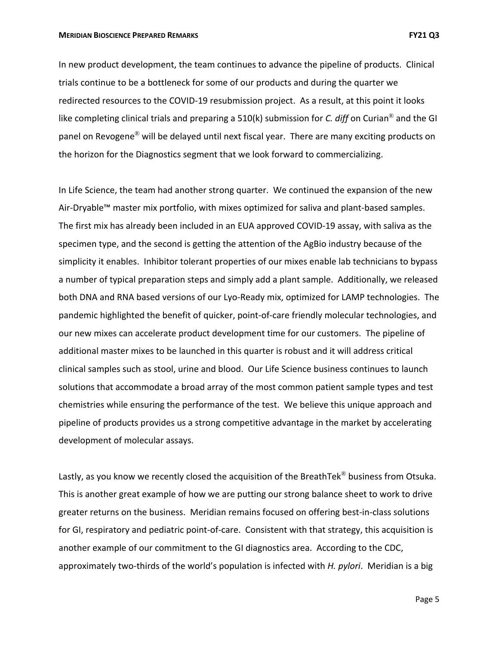#### **MERIDIAN BIOSCIENCE PREPARED REMARKS FY21 Q3**

In new product development, the team continues to advance the pipeline of products. Clinical trials continue to be a bottleneck for some of our products and during the quarter we redirected resources to the COVID‐19 resubmission project. As a result, at this point it looks like completing clinical trials and preparing a 510(k) submission for *C. diff* on Curian® and the GI panel on Revogene® will be delayed until next fiscal year. There are many exciting products on the horizon for the Diagnostics segment that we look forward to commercializing.

In Life Science, the team had another strong quarter. We continued the expansion of the new Air‐Dryable™ master mix portfolio, with mixes optimized for saliva and plant‐based samples. The first mix has already been included in an EUA approved COVID‐19 assay, with saliva as the specimen type, and the second is getting the attention of the AgBio industry because of the simplicity it enables. Inhibitor tolerant properties of our mixes enable lab technicians to bypass a number of typical preparation steps and simply add a plant sample. Additionally, we released both DNA and RNA based versions of our Lyo‐Ready mix, optimized for LAMP technologies. The pandemic highlighted the benefit of quicker, point‐of‐care friendly molecular technologies, and our new mixes can accelerate product development time for our customers. The pipeline of additional master mixes to be launched in this quarter is robust and it will address critical clinical samples such as stool, urine and blood. Our Life Science business continues to launch solutions that accommodate a broad array of the most common patient sample types and test chemistries while ensuring the performance of the test. We believe this unique approach and pipeline of products provides us a strong competitive advantage in the market by accelerating development of molecular assays.

Lastly, as you know we recently closed the acquisition of the BreathTek<sup>®</sup> business from Otsuka. This is another great example of how we are putting our strong balance sheet to work to drive greater returns on the business. Meridian remains focused on offering best‐in‐class solutions for GI, respiratory and pediatric point-of-care. Consistent with that strategy, this acquisition is another example of our commitment to the GI diagnostics area. According to the CDC, approximately two‐thirds of the world's population is infected with *H. pylori*. Meridian is a big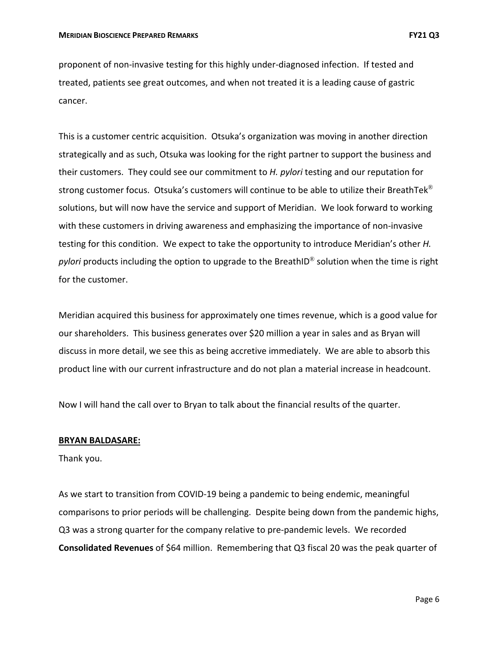proponent of non‐invasive testing for this highly under‐diagnosed infection. If tested and treated, patients see great outcomes, and when not treated it is a leading cause of gastric cancer.

This is a customer centric acquisition. Otsuka's organization was moving in another direction strategically and as such, Otsuka was looking for the right partner to support the business and their customers. They could see our commitment to *H. pylori* testing and our reputation for strong customer focus. Otsuka's customers will continue to be able to utilize their BreathTek<sup>®</sup> solutions, but will now have the service and support of Meridian. We look forward to working with these customers in driving awareness and emphasizing the importance of non-invasive testing for this condition. We expect to take the opportunity to introduce Meridian's other *H. pylori* products including the option to upgrade to the BreathID® solution when the time is right for the customer.

Meridian acquired this business for approximately one times revenue, which is a good value for our shareholders. This business generates over \$20 million a year in sales and as Bryan will discuss in more detail, we see this as being accretive immediately. We are able to absorb this product line with our current infrastructure and do not plan a material increase in headcount.

Now I will hand the call over to Bryan to talk about the financial results of the quarter.

### **BRYAN BALDASARE:**

Thank you.

As we start to transition from COVID‐19 being a pandemic to being endemic, meaningful comparisons to prior periods will be challenging. Despite being down from the pandemic highs, Q3 was a strong quarter for the company relative to pre-pandemic levels. We recorded **Consolidated Revenues** of \$64 million. Remembering that Q3 fiscal 20 was the peak quarter of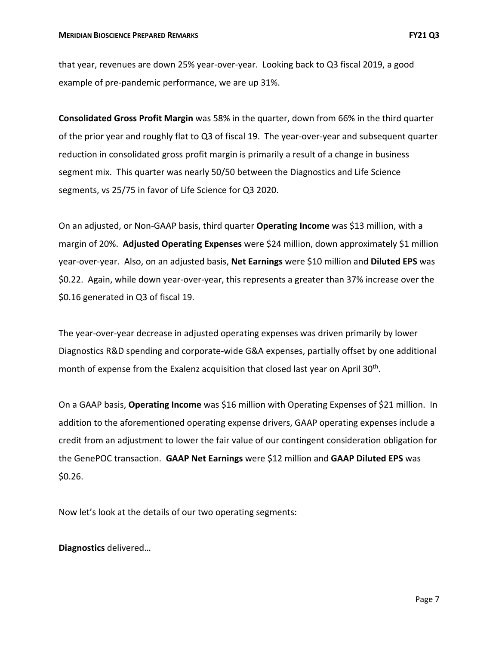that year, revenues are down 25% year‐over‐year. Looking back to Q3 fiscal 2019, a good example of pre‐pandemic performance, we are up 31%.

**Consolidated Gross Profit Margin** was 58% in the quarter, down from 66% in the third quarter of the prior year and roughly flat to Q3 of fiscal 19. The year‐over‐year and subsequent quarter reduction in consolidated gross profit margin is primarily a result of a change in business segment mix. This quarter was nearly 50/50 between the Diagnostics and Life Science segments, vs 25/75 in favor of Life Science for Q3 2020.

On an adjusted, or Non‐GAAP basis, third quarter **Operating Income** was \$13 million, with a margin of 20%. **Adjusted Operating Expenses** were \$24 million, down approximately \$1 million year‐over‐year. Also, on an adjusted basis, **Net Earnings** were \$10 million and **Diluted EPS** was \$0.22. Again, while down year‐over‐year, this represents a greater than 37% increase over the \$0.16 generated in Q3 of fiscal 19.

The year‐over‐year decrease in adjusted operating expenses was driven primarily by lower Diagnostics R&D spending and corporate‐wide G&A expenses, partially offset by one additional month of expense from the Exalenz acquisition that closed last year on April 30<sup>th</sup>.

On a GAAP basis, **Operating Income** was \$16 million with Operating Expenses of \$21 million. In addition to the aforementioned operating expense drivers, GAAP operating expenses include a credit from an adjustment to lower the fair value of our contingent consideration obligation for the GenePOC transaction. **GAAP Net Earnings** were \$12 million and **GAAP Diluted EPS** was \$0.26.

Now let's look at the details of our two operating segments:

**Diagnostics** delivered…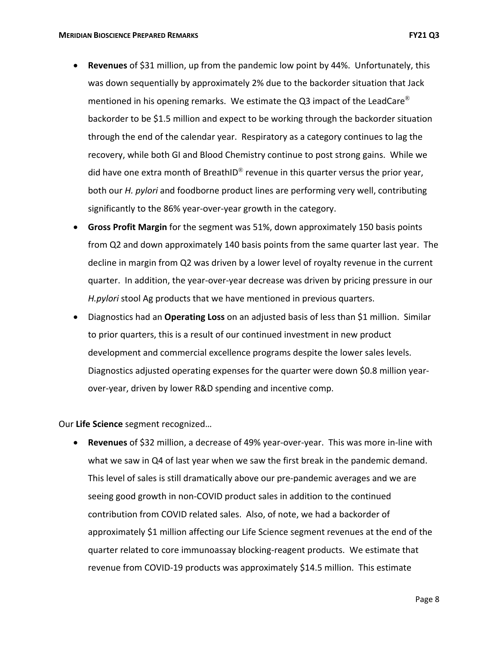- **Revenues** of \$31 million, up from the pandemic low point by 44%. Unfortunately, this was down sequentially by approximately 2% due to the backorder situation that Jack mentioned in his opening remarks. We estimate the Q3 impact of the LeadCare<sup>®</sup> backorder to be \$1.5 million and expect to be working through the backorder situation through the end of the calendar year. Respiratory as a category continues to lag the recovery, while both GI and Blood Chemistry continue to post strong gains. While we did have one extra month of BreathID<sup>®</sup> revenue in this quarter versus the prior year, both our *H. pylori* and foodborne product lines are performing very well, contributing significantly to the 86% year‐over‐year growth in the category.
- **Gross Profit Margin** for the segment was 51%, down approximately 150 basis points from Q2 and down approximately 140 basis points from the same quarter last year. The decline in margin from Q2 was driven by a lower level of royalty revenue in the current quarter. In addition, the year‐over‐year decrease was driven by pricing pressure in our *H.pylori* stool Ag products that we have mentioned in previous quarters.
- Diagnostics had an **Operating Loss** on an adjusted basis of less than \$1 million. Similar to prior quarters, this is a result of our continued investment in new product development and commercial excellence programs despite the lower sales levels. Diagnostics adjusted operating expenses for the quarter were down \$0.8 million year‐ over‐year, driven by lower R&D spending and incentive comp.

Our **Life Science** segment recognized…

 **Revenues** of \$32 million, a decrease of 49% year‐over‐year. This was more in‐line with what we saw in Q4 of last year when we saw the first break in the pandemic demand. This level of sales is still dramatically above our pre‐pandemic averages and we are seeing good growth in non‐COVID product sales in addition to the continued contribution from COVID related sales. Also, of note, we had a backorder of approximately \$1 million affecting our Life Science segment revenues at the end of the quarter related to core immunoassay blocking‐reagent products. We estimate that revenue from COVID‐19 products was approximately \$14.5 million. This estimate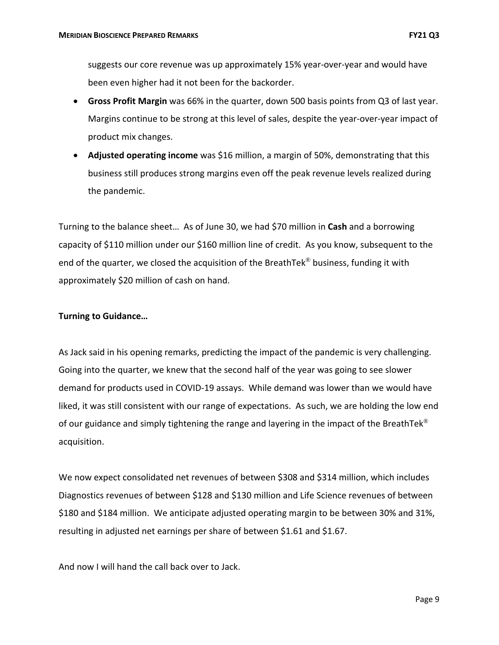suggests our core revenue was up approximately 15% year‐over‐year and would have been even higher had it not been for the backorder.

- **Gross Profit Margin** was 66% in the quarter, down 500 basis points from Q3 of last year. Margins continue to be strong at this level of sales, despite the year-over-year impact of product mix changes.
- **Adjusted operating income** was \$16 million, a margin of 50%, demonstrating that this business still produces strong margins even off the peak revenue levels realized during the pandemic.

Turning to the balance sheet… As of June 30, we had \$70 million in **Cash** and a borrowing capacity of \$110 million under our \$160 million line of credit. As you know, subsequent to the end of the quarter, we closed the acquisition of the BreathTek® business, funding it with approximately \$20 million of cash on hand.

# **Turning to Guidance…**

As Jack said in his opening remarks, predicting the impact of the pandemic is very challenging. Going into the quarter, we knew that the second half of the year was going to see slower demand for products used in COVID‐19 assays. While demand was lower than we would have liked, it was still consistent with our range of expectations. As such, we are holding the low end of our guidance and simply tightening the range and layering in the impact of the BreathTek<sup>®</sup> acquisition.

We now expect consolidated net revenues of between \$308 and \$314 million, which includes Diagnostics revenues of between \$128 and \$130 million and Life Science revenues of between \$180 and \$184 million. We anticipate adjusted operating margin to be between 30% and 31%, resulting in adjusted net earnings per share of between \$1.61 and \$1.67.

And now I will hand the call back over to Jack.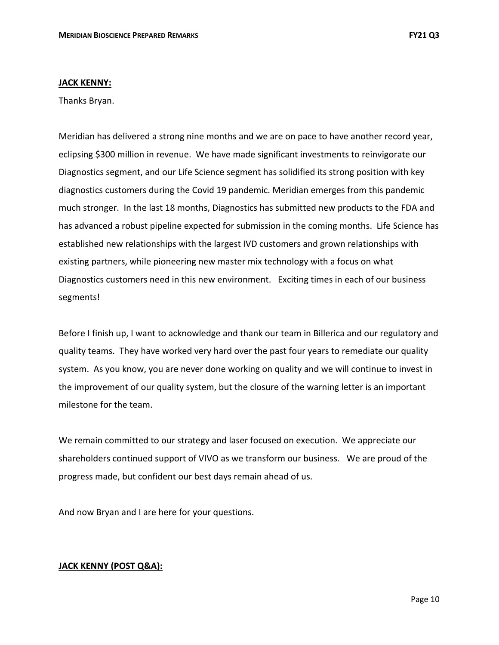### **JACK KENNY:**

Thanks Bryan.

Meridian has delivered a strong nine months and we are on pace to have another record year, eclipsing \$300 million in revenue. We have made significant investments to reinvigorate our Diagnostics segment, and our Life Science segment has solidified its strong position with key diagnostics customers during the Covid 19 pandemic. Meridian emerges from this pandemic much stronger. In the last 18 months, Diagnostics has submitted new products to the FDA and has advanced a robust pipeline expected for submission in the coming months. Life Science has established new relationships with the largest IVD customers and grown relationships with existing partners, while pioneering new master mix technology with a focus on what Diagnostics customers need in this new environment. Exciting times in each of our business segments!

Before I finish up, I want to acknowledge and thank our team in Billerica and our regulatory and quality teams. They have worked very hard over the past four years to remediate our quality system. As you know, you are never done working on quality and we will continue to invest in the improvement of our quality system, but the closure of the warning letter is an important milestone for the team.

We remain committed to our strategy and laser focused on execution. We appreciate our shareholders continued support of VIVO as we transform our business. We are proud of the progress made, but confident our best days remain ahead of us.

And now Bryan and I are here for your questions.

# **JACK KENNY (POST Q&A):**